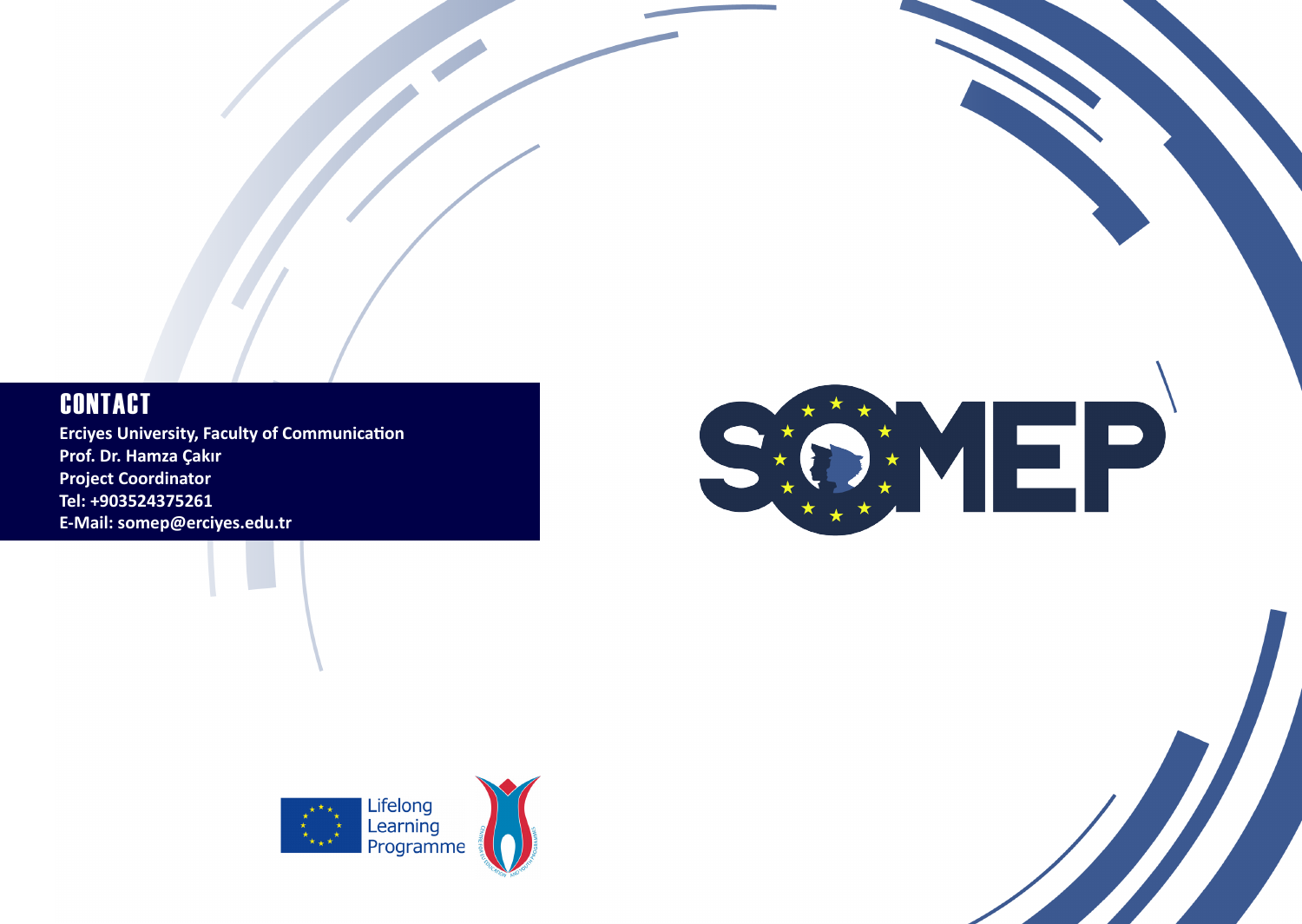## **CONTACT**

**Erciyes University, Faculty of Communication Prof. Dr. Hamza Çakır Project Coordinator Tel: +903524375261 E-Mail: somep@erciyes.edu.tr**